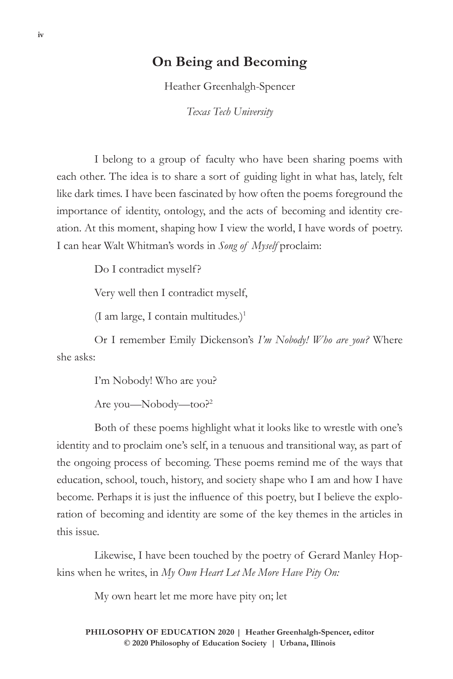## **On Being and Becoming**

Heather Greenhalgh-Spencer

*Texas Tech University*

I belong to a group of faculty who have been sharing poems with each other. The idea is to share a sort of guiding light in what has, lately, felt like dark times. I have been fascinated by how often the poems foreground the importance of identity, ontology, and the acts of becoming and identity creation. At this moment, shaping how I view the world, I have words of poetry. I can hear Walt Whitman's words in *Song of Myself* proclaim:

Do I contradict myself?

Very well then I contradict myself,

(I am large, I contain multitudes.)<sup>1</sup>

Or I remember Emily Dickenson's *I'm Nobody! Who are you?* Where she asks:

I'm Nobody! Who are you?

Are you—Nobody—too?2

Both of these poems highlight what it looks like to wrestle with one's identity and to proclaim one's self, in a tenuous and transitional way, as part of the ongoing process of becoming. These poems remind me of the ways that education, school, touch, history, and society shape who I am and how I have become. Perhaps it is just the influence of this poetry, but I believe the exploration of becoming and identity are some of the key themes in the articles in this issue.

Likewise, I have been touched by the poetry of Gerard Manley Hopkins when he writes, in *My Own Heart Let Me More Have Pity On:*

My own heart let me more have pity on; let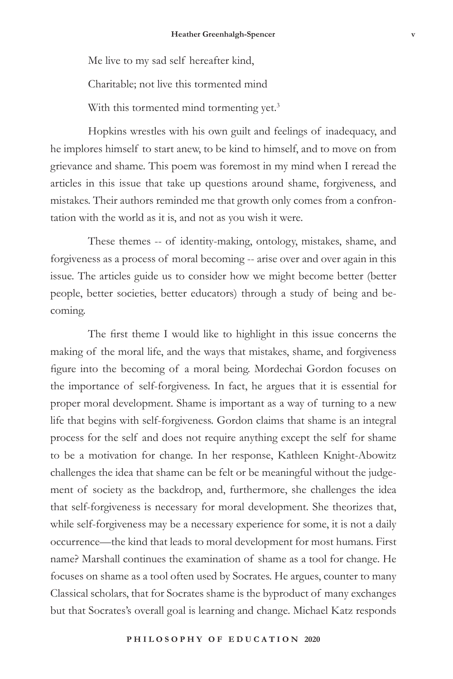Me live to my sad self hereafter kind,

Charitable; not live this tormented mind

With this tormented mind tormenting yet.<sup>3</sup>

Hopkins wrestles with his own guilt and feelings of inadequacy, and he implores himself to start anew, to be kind to himself, and to move on from grievance and shame. This poem was foremost in my mind when I reread the articles in this issue that take up questions around shame, forgiveness, and mistakes. Their authors reminded me that growth only comes from a confrontation with the world as it is, and not as you wish it were.

These themes -- of identity-making, ontology, mistakes, shame, and forgiveness as a process of moral becoming -- arise over and over again in this issue. The articles guide us to consider how we might become better (better people, better societies, better educators) through a study of being and becoming.

The first theme I would like to highlight in this issue concerns the making of the moral life, and the ways that mistakes, shame, and forgiveness figure into the becoming of a moral being. Mordechai Gordon focuses on the importance of self-forgiveness. In fact, he argues that it is essential for proper moral development. Shame is important as a way of turning to a new life that begins with self-forgiveness. Gordon claims that shame is an integral process for the self and does not require anything except the self for shame to be a motivation for change. In her response, Kathleen Knight-Abowitz challenges the idea that shame can be felt or be meaningful without the judgement of society as the backdrop, and, furthermore, she challenges the idea that self-forgiveness is necessary for moral development. She theorizes that, while self-forgiveness may be a necessary experience for some, it is not a daily occurrence—the kind that leads to moral development for most humans. First name? Marshall continues the examination of shame as a tool for change. He focuses on shame as a tool often used by Socrates. He argues, counter to many Classical scholars, that for Socrates shame is the byproduct of many exchanges but that Socrates's overall goal is learning and change. Michael Katz responds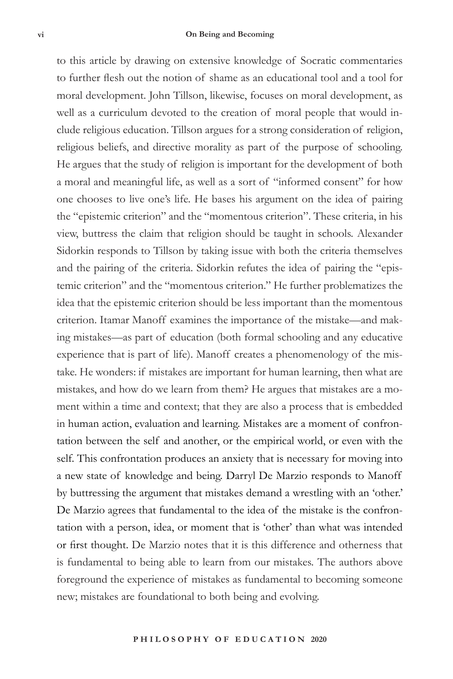to this article by drawing on extensive knowledge of Socratic commentaries to further flesh out the notion of shame as an educational tool and a tool for moral development. John Tillson, likewise, focuses on moral development, as well as a curriculum devoted to the creation of moral people that would include religious education. Tillson argues for a strong consideration of religion, religious beliefs, and directive morality as part of the purpose of schooling. He argues that the study of religion is important for the development of both a moral and meaningful life, as well as a sort of "informed consent" for how one chooses to live one's life. He bases his argument on the idea of pairing the "epistemic criterion" and the "momentous criterion". These criteria, in his view, buttress the claim that religion should be taught in schools. Alexander Sidorkin responds to Tillson by taking issue with both the criteria themselves and the pairing of the criteria. Sidorkin refutes the idea of pairing the "epistemic criterion" and the "momentous criterion." He further problematizes the idea that the epistemic criterion should be less important than the momentous criterion. Itamar Manoff examines the importance of the mistake—and making mistakes—as part of education (both formal schooling and any educative experience that is part of life). Manoff creates a phenomenology of the mistake. He wonders: if mistakes are important for human learning, then what are mistakes, and how do we learn from them? He argues that mistakes are a moment within a time and context; that they are also a process that is embedded in human action, evaluation and learning. Mistakes are a moment of confrontation between the self and another, or the empirical world, or even with the self. This confrontation produces an anxiety that is necessary for moving into a new state of knowledge and being. Darryl De Marzio responds to Manoff by buttressing the argument that mistakes demand a wrestling with an 'other.' De Marzio agrees that fundamental to the idea of the mistake is the confrontation with a person, idea, or moment that is 'other' than what was intended or first thought. De Marzio notes that it is this difference and otherness that is fundamental to being able to learn from our mistakes. The authors above foreground the experience of mistakes as fundamental to becoming someone new; mistakes are foundational to both being and evolving.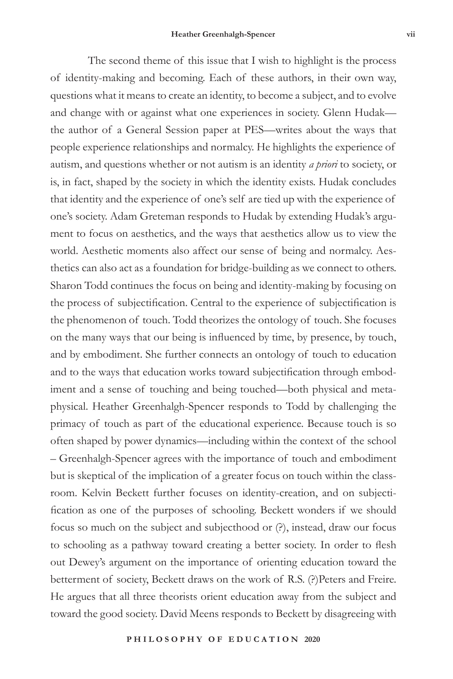The second theme of this issue that I wish to highlight is the process of identity-making and becoming. Each of these authors, in their own way, questions what it means to create an identity, to become a subject, and to evolve and change with or against what one experiences in society. Glenn Hudak the author of a General Session paper at PES—writes about the ways that people experience relationships and normalcy. He highlights the experience of autism, and questions whether or not autism is an identity *a priori* to society, or is, in fact, shaped by the society in which the identity exists. Hudak concludes that identity and the experience of one's self are tied up with the experience of one's society. Adam Greteman responds to Hudak by extending Hudak's argument to focus on aesthetics, and the ways that aesthetics allow us to view the world. Aesthetic moments also affect our sense of being and normalcy. Aesthetics can also act as a foundation for bridge-building as we connect to others. Sharon Todd continues the focus on being and identity-making by focusing on the process of subjectification. Central to the experience of subjectification is the phenomenon of touch. Todd theorizes the ontology of touch. She focuses on the many ways that our being is influenced by time, by presence, by touch, and by embodiment. She further connects an ontology of touch to education and to the ways that education works toward subjectification through embodiment and a sense of touching and being touched—both physical and metaphysical. Heather Greenhalgh-Spencer responds to Todd by challenging the primacy of touch as part of the educational experience. Because touch is so often shaped by power dynamics—including within the context of the school – Greenhalgh-Spencer agrees with the importance of touch and embodiment but is skeptical of the implication of a greater focus on touch within the classroom. Kelvin Beckett further focuses on identity-creation, and on subjectification as one of the purposes of schooling. Beckett wonders if we should focus so much on the subject and subjecthood or (?), instead, draw our focus to schooling as a pathway toward creating a better society. In order to flesh out Dewey's argument on the importance of orienting education toward the betterment of society, Beckett draws on the work of R.S. (?)Peters and Freire. He argues that all three theorists orient education away from the subject and toward the good society. David Meens responds to Beckett by disagreeing with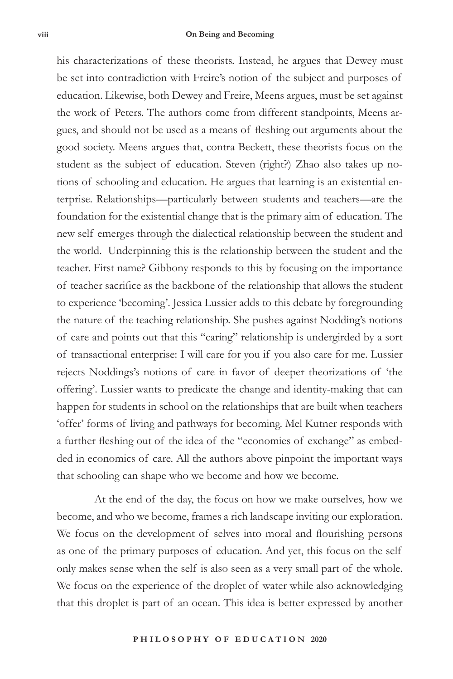his characterizations of these theorists. Instead, he argues that Dewey must be set into contradiction with Freire's notion of the subject and purposes of education. Likewise, both Dewey and Freire, Meens argues, must be set against the work of Peters. The authors come from different standpoints, Meens argues, and should not be used as a means of fleshing out arguments about the good society. Meens argues that, contra Beckett, these theorists focus on the student as the subject of education. Steven (right?) Zhao also takes up notions of schooling and education. He argues that learning is an existential enterprise. Relationships—particularly between students and teachers—are the foundation for the existential change that is the primary aim of education. The new self emerges through the dialectical relationship between the student and the world. Underpinning this is the relationship between the student and the teacher. First name? Gibbony responds to this by focusing on the importance of teacher sacrifice as the backbone of the relationship that allows the student to experience 'becoming'. Jessica Lussier adds to this debate by foregrounding the nature of the teaching relationship. She pushes against Nodding's notions of care and points out that this "caring" relationship is undergirded by a sort of transactional enterprise: I will care for you if you also care for me. Lussier rejects Noddings's notions of care in favor of deeper theorizations of 'the offering'. Lussier wants to predicate the change and identity-making that can happen for students in school on the relationships that are built when teachers 'offer' forms of living and pathways for becoming. Mel Kutner responds with a further fleshing out of the idea of the "economies of exchange" as embedded in economics of care. All the authors above pinpoint the important ways that schooling can shape who we become and how we become.

At the end of the day, the focus on how we make ourselves, how we become, and who we become, frames a rich landscape inviting our exploration. We focus on the development of selves into moral and flourishing persons as one of the primary purposes of education. And yet, this focus on the self only makes sense when the self is also seen as a very small part of the whole. We focus on the experience of the droplet of water while also acknowledging that this droplet is part of an ocean. This idea is better expressed by another